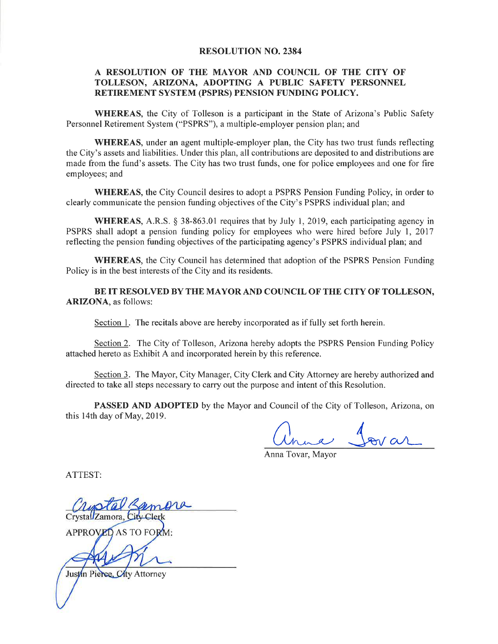#### **RESOLUTION NO. 2384**

### A RESOLUTION OF THE MAYOR AND COUNCIL OF THE CITY OF TOLLESON, ARIZONA, ADOPTING A PUBLIC SAFETY PERSONNEL RETIREMENT SYSTEM (PSPRS) PENSION FUNDING POLICY.

**WHEREAS**, the City of Tolleson is a participant in the State of Arizona's Public Safety Personnel Retirement System ("PSPRS"), a multiple-employer pension plan; and

**WHEREAS**, under an agent multiple-employer plan, the City has two trust funds reflecting the City's assets and liabilities. Under this plan, all contributions are deposited to and distributions are made from the fund's assets. The City has two trust funds, one for police employees and one for fire employees; and

WHEREAS, the City Council desires to adopt a PSPRS Pension Funding Policy, in order to clearly communicate the pension funding objectives of the City's PSPRS individual plan; and

**WHEREAS,** A.R.S. § 38-863.01 requires that by July 1, 2019, each participating agency in PSPRS shall adopt a pension funding policy for employees who were hired before July 1, 2017 reflecting the pension funding objectives of the participating agency's PSPRS individual plan; and

**WHEREAS**, the City Council has determined that adoption of the PSPRS Pension Funding Policy is in the best interests of the City and its residents.

BE IT RESOLVED BY THE MAYOR AND COUNCIL OF THE CITY OF TOLLESON, **ARIZONA**, as follows:

Section 1. The recitals above are hereby incorporated as if fully set forth herein.

Section 2. The City of Tolleson, Arizona hereby adopts the PSPRS Pension Funding Policy attached hereto as Exhibit A and incorporated herein by this reference.

Section 3. The Mayor, City Manager, City Clerk and City Attorney are hereby authorized and directed to take all steps necessary to carry out the purpose and intent of this Resolution.

**PASSED AND ADOPTED** by the Mayor and Council of the City of Tolleson, Arizona, on this 14th day of May, 2019.

na Jovar

Anna Tovar, Mayor

ATTEST:

Crystal Zamora.

APPROVED AS TO FORM

Justin Pierce, City Attorney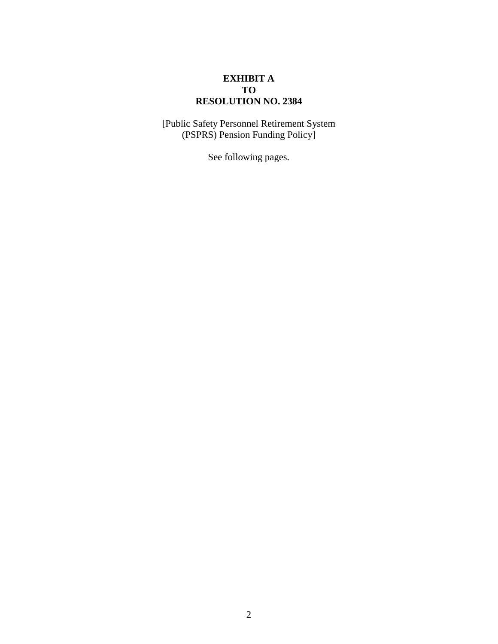## **EXHIBIT A TO RESOLUTION NO. 2384**

[Public Safety Personnel Retirement System (PSPRS) Pension Funding Policy]

See following pages.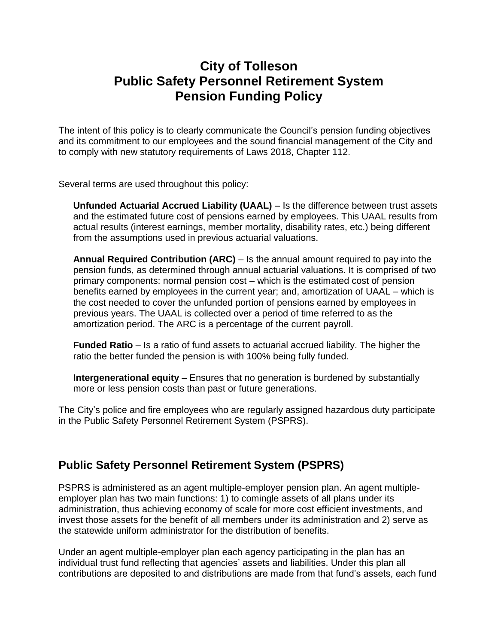# **City of Tolleson Public Safety Personnel Retirement System Pension Funding Policy**

The intent of this policy is to clearly communicate the Council's pension funding objectives and its commitment to our employees and the sound financial management of the City and to comply with new statutory requirements of Laws 2018, Chapter 112.

Several terms are used throughout this policy:

**Unfunded Actuarial Accrued Liability (UAAL)** – Is the difference between trust assets and the estimated future cost of pensions earned by employees. This UAAL results from actual results (interest earnings, member mortality, disability rates, etc.) being different from the assumptions used in previous actuarial valuations.

**Annual Required Contribution (ARC)** – Is the annual amount required to pay into the pension funds, as determined through annual actuarial valuations. It is comprised of two primary components: normal pension cost – which is the estimated cost of pension benefits earned by employees in the current year; and, amortization of UAAL – which is the cost needed to cover the unfunded portion of pensions earned by employees in previous years. The UAAL is collected over a period of time referred to as the amortization period. The ARC is a percentage of the current payroll.

**Funded Ratio** – Is a ratio of fund assets to actuarial accrued liability. The higher the ratio the better funded the pension is with 100% being fully funded.

**Intergenerational equity –** Ensures that no generation is burdened by substantially more or less pension costs than past or future generations.

The City's police and fire employees who are regularly assigned hazardous duty participate in the Public Safety Personnel Retirement System (PSPRS).

## **Public Safety Personnel Retirement System (PSPRS)**

PSPRS is administered as an agent multiple-employer pension plan. An agent multipleemployer plan has two main functions: 1) to comingle assets of all plans under its administration, thus achieving economy of scale for more cost efficient investments, and invest those assets for the benefit of all members under its administration and 2) serve as the statewide uniform administrator for the distribution of benefits.

Under an agent multiple-employer plan each agency participating in the plan has an individual trust fund reflecting that agencies' assets and liabilities. Under this plan all contributions are deposited to and distributions are made from that fund's assets, each fund